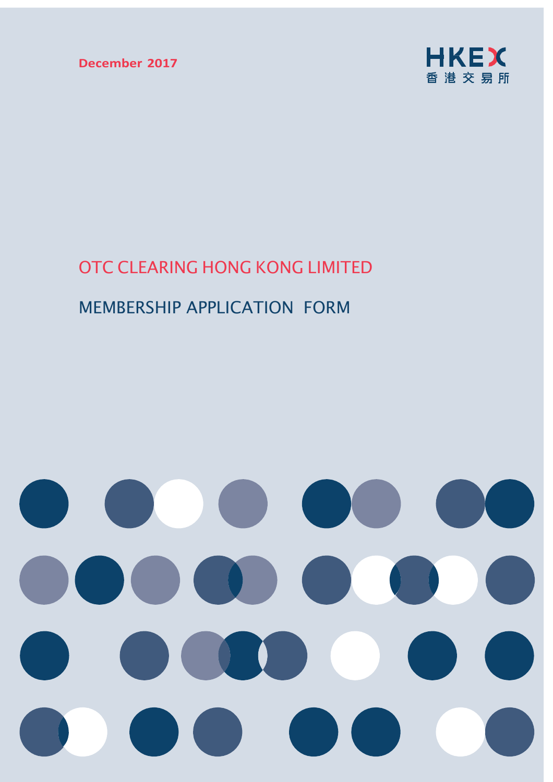**December 2017**



# OTC CLEARING HONG KONG LIMITED

# MEMBERSHIP APPLICATION FORM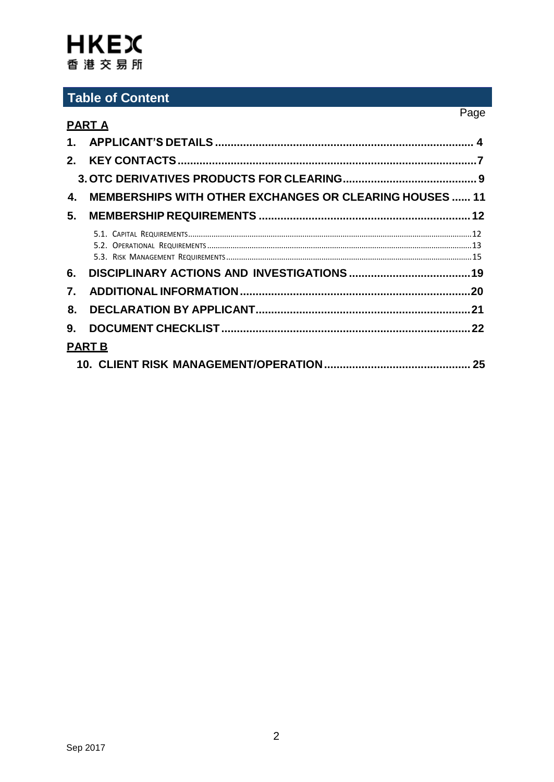# **Table of Content**

|    |                                                                | Page |
|----|----------------------------------------------------------------|------|
|    | <u>PART A</u>                                                  |      |
|    |                                                                |      |
|    |                                                                |      |
|    |                                                                |      |
| 4. | <b>MEMBERSHIPS WITH OTHER EXCHANGES OR CLEARING HOUSES  11</b> |      |
| 5. |                                                                |      |
|    |                                                                |      |
| 6. |                                                                |      |
| 7. |                                                                |      |
| 8. |                                                                |      |
| 9. |                                                                |      |
|    | <b>PART B</b>                                                  |      |
|    |                                                                |      |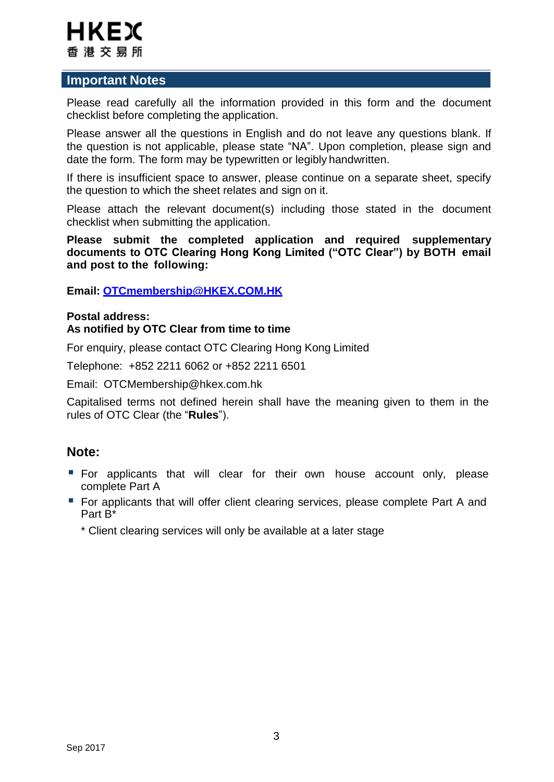

### **Important Notes**

Please read carefully all the information provided in this form and the document checklist before completing the application.

Please answer all the questions in English and do not leave any questions blank. If the question is not applicable, please state "NA". Upon completion, please sign and date the form. The form may be typewritten or legibly handwritten.

If there is insufficient space to answer, please continue on a separate sheet, specify the question to which the sheet relates and sign on it.

Please attach the relevant document(s) including those stated in the document checklist when submitting the application.

**Please submit the completed application and required supplementary documents to OTC Clearing Hong Kong Limited ("OTC Clear") by BOTH email and post to the following:**

**Email: [OTCmembership@HKEX.COM.HK](mailto:OTCmembership@HKEX.COM.HK)**

### **Postal address: As notified by OTC Clear from time to time**

For enquiry, please contact OTC Clearing Hong Kong Limited

Telephone: +852 2211 6062 or +852 2211 6501

Email: [OTCMembership@hkex.com.hk](mailto:OTCMembership@hkex.com.hk)

Capitalised terms not defined herein shall have the meaning given to them in the rules of OTC Clear (the "**Rules**").

# **Note:**

- **For applicants that will clear for their own house account only, please** complete Part A
- **For applicants that will offer client clearing services, please complete Part A and** Part B\*

\* Client clearing services will only be available at a later stage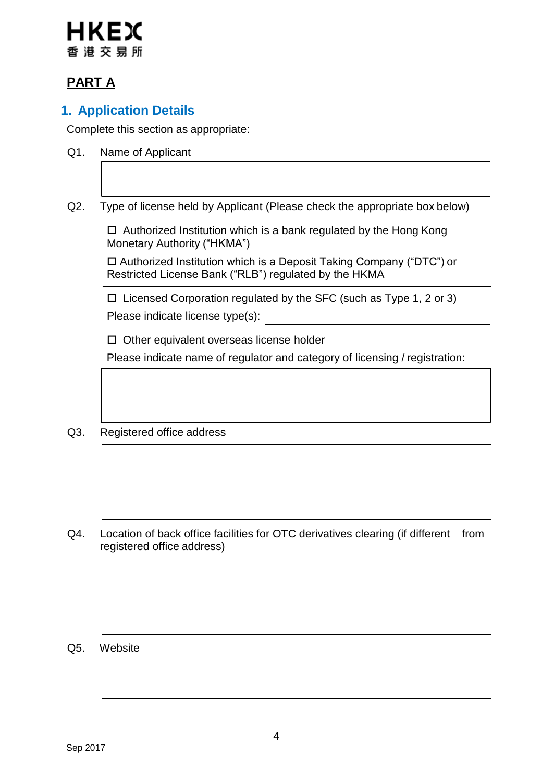# IKFX 香港交易所

# **PART A**

# **1. Application Details**

Complete this section as appropriate:

- Q1. Name of Applicant
- Q2. Type of license held by Applicant (Please check the appropriate box below)

 $\Box$  Authorized Institution which is a bank regulated by the Hong Kong Monetary Authority ("HKMA")

 Authorized Institution which is a Deposit Taking Company ("DTC") or Restricted License Bank ("RLB") regulated by the HKMA

 $\Box$  Licensed Corporation regulated by the SFC (such as Type 1, 2 or 3) Please indicate license type(s):

 $\Box$  Other equivalent overseas license holder

Please indicate name of regulator and category of licensing / registration:

Q3. Registered office address

Q4. Location of back office facilities for OTC derivatives clearing (if different from registered office address)

Q5. Website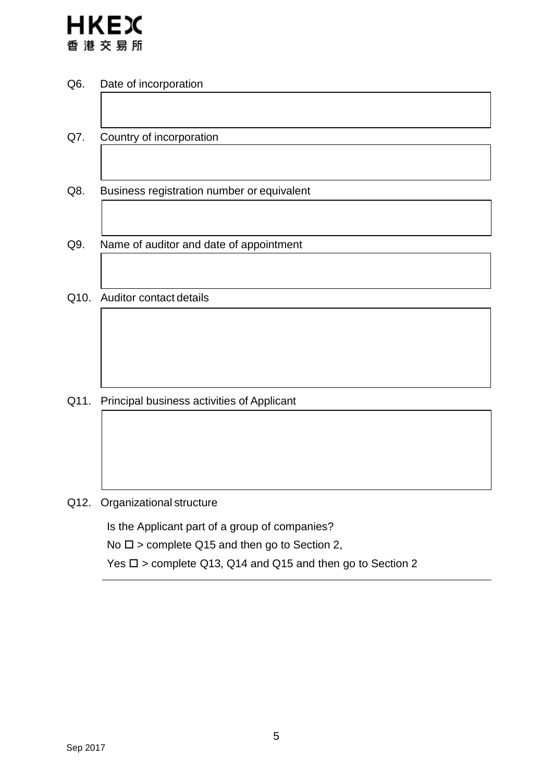

- Q6. Date of incorporation
- Q7. Country of incorporation
- Q8. Business registration number or equivalent
- Q9. Name of auditor and date of appointment
- Q10. Auditor contact details

Q11. Principal business activities of Applicant

Q12. Organizational structure

Is the Applicant part of a group of companies?

No  $\square$  > complete Q15 and then go to Section 2,

Yes  $\square$  > complete Q13, Q14 and Q15 and then go to Section 2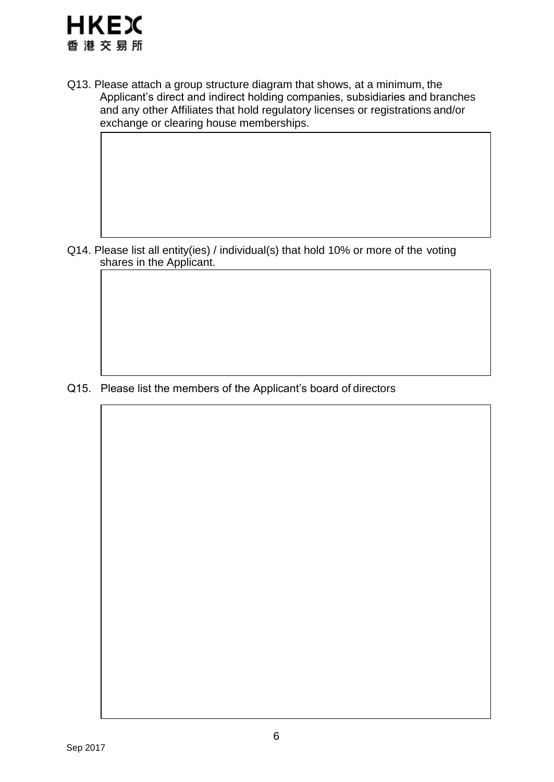

Q13. Please attach a group structure diagram that shows, at a minimum, the Applicant's direct and indirect holding companies, subsidiaries and branches and any other Affiliates that hold regulatory licenses or registrations and/or exchange or clearing house memberships.

Q14. Please list all entity(ies) / individual(s) that hold 10% or more of the voting shares in the Applicant.

Q15. Please list the members of the Applicant's board of directors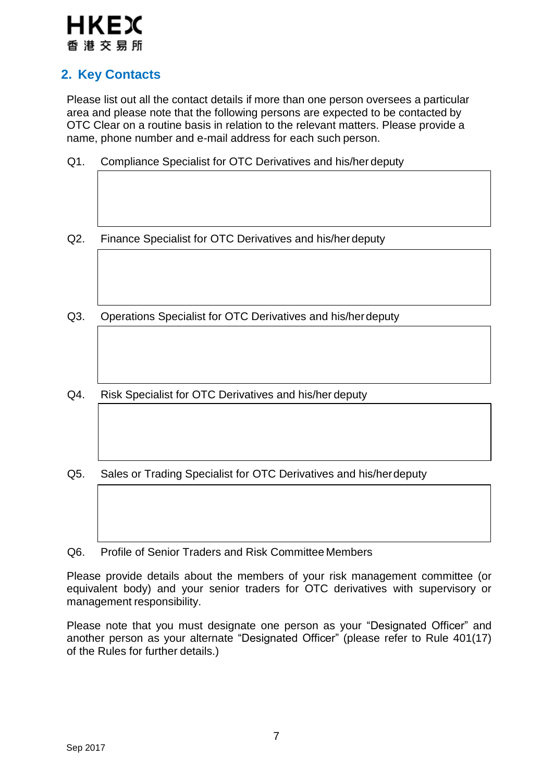# **HKEX** 香 港 交 易 所

# **2. Key Contacts**

Please list out all the contact details if more than one person oversees a particular area and please note that the following persons are expected to be contacted by OTC Clear on a routine basis in relation to the relevant matters. Please provide a name, phone number and e-mail address for each such person.

- Q1. Compliance Specialist for OTC Derivatives and his/her deputy
- Q2. Finance Specialist for OTC Derivatives and his/her deputy
- Q3. Operations Specialist for OTC Derivatives and his/herdeputy
- Q4. Risk Specialist for OTC Derivatives and his/her deputy
- Q5. Sales or Trading Specialist for OTC Derivatives and his/herdeputy
- Q6. Profile of Senior Traders and Risk Committee Members

Please provide details about the members of your risk management committee (or equivalent body) and your senior traders for OTC derivatives with supervisory or management responsibility.

Please note that you must designate one person as your "Designated Officer" and another person as your alternate "Designated Officer" (please refer to Rule 401(17) of the Rules for further details.)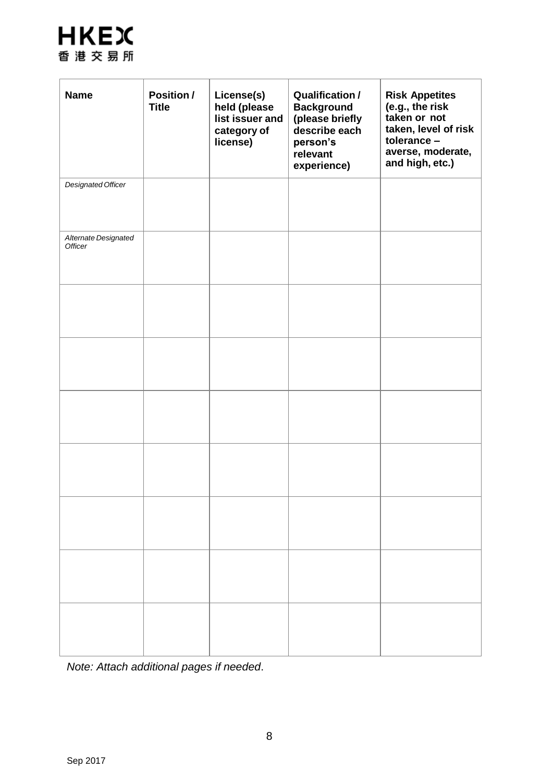

| <b>Name</b>                            | Position /<br><b>Title</b> | License(s)<br>held (please<br>list issuer and<br>category of<br>license) | <b>Qualification /</b><br><b>Background</b><br>(please briefly<br>describe each<br>person's<br>relevant<br>experience) | <b>Risk Appetites</b><br>(e.g., the risk<br>taken or not<br>taken, level of risk<br>tolerance -<br>averse, moderate,<br>and high, etc.) |
|----------------------------------------|----------------------------|--------------------------------------------------------------------------|------------------------------------------------------------------------------------------------------------------------|-----------------------------------------------------------------------------------------------------------------------------------------|
| <b>Designated Officer</b>              |                            |                                                                          |                                                                                                                        |                                                                                                                                         |
| Alternate Designated<br><b>Officer</b> |                            |                                                                          |                                                                                                                        |                                                                                                                                         |
|                                        |                            |                                                                          |                                                                                                                        |                                                                                                                                         |
|                                        |                            |                                                                          |                                                                                                                        |                                                                                                                                         |
|                                        |                            |                                                                          |                                                                                                                        |                                                                                                                                         |
|                                        |                            |                                                                          |                                                                                                                        |                                                                                                                                         |
|                                        |                            |                                                                          |                                                                                                                        |                                                                                                                                         |
|                                        |                            |                                                                          |                                                                                                                        |                                                                                                                                         |
|                                        |                            |                                                                          |                                                                                                                        |                                                                                                                                         |

*Note: Attach additional pages if needed*.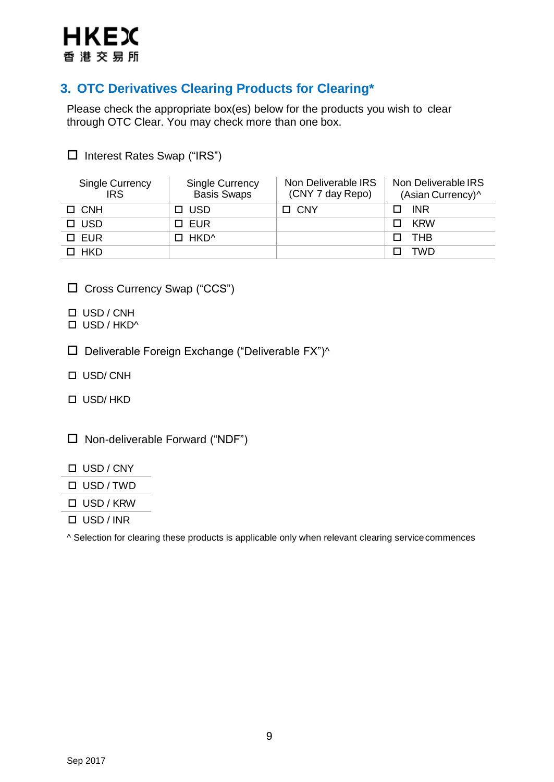

# **3. OTC Derivatives Clearing Products for Clearing\***

Please check the appropriate box(es) below for the products you wish to clear through OTC Clear. You may check more than one box.

| $\equiv$ $\cdots$             |                                       |                                         |                                          |
|-------------------------------|---------------------------------------|-----------------------------------------|------------------------------------------|
| Single Currency<br><b>IRS</b> | Single Currency<br><b>Basis Swaps</b> | Non Deliverable IRS<br>(CNY 7 day Repo) | Non Deliverable IRS<br>(Asian Currency)^ |
| $\Box$ CNH                    | $\Box$ USD                            | $\Box$ CNY                              | INR.<br>П.                               |
| $\Box$ USD                    | □ EUR                                 |                                         | <b>KRW</b>                               |

 $\Box$  EUR  $\Box$  HKD^  $\Box$  THB HKD TWD

□ Cross Currency Swap ("CCS")

Interest Rates Swap ("IRS")

- □ USD / CNH
- $\Box$  USD / HKD^
- $\square$  Deliverable Foreign Exchange ("Deliverable FX")^
- USD/ CNH
- USD/ HKD
- $\Box$  Non-deliverable Forward ("NDF")
- USD / CNY
- USD / TWD
- USD / KRW
- USD / INR

^ Selection for clearing these products is applicable only when relevant clearing servicecommences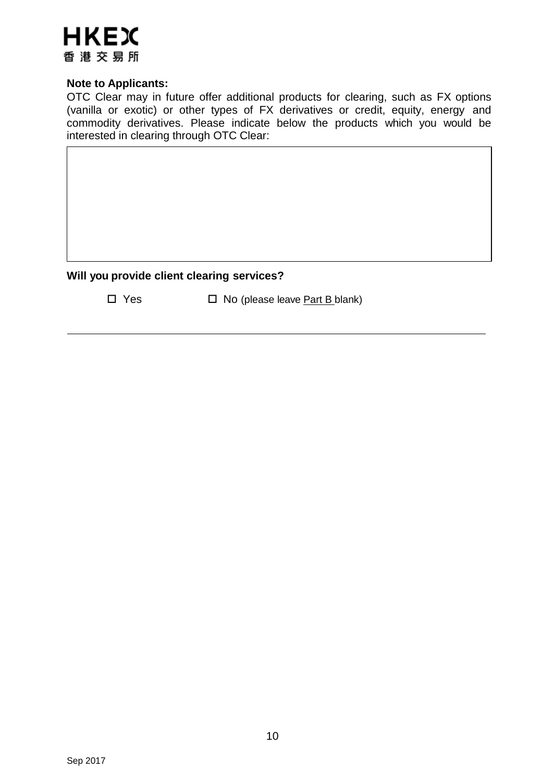

### **Note to Applicants:**

OTC Clear may in future offer additional products for clearing, such as FX options (vanilla or exotic) or other types of FX derivatives or credit, equity, energy and commodity derivatives. Please indicate below the products which you would be interested in clearing through OTC Clear:

### **Will you provide client clearing services?**

 $\Box$  Yes  $\Box$  No (please leave <u>Part B blank</u>)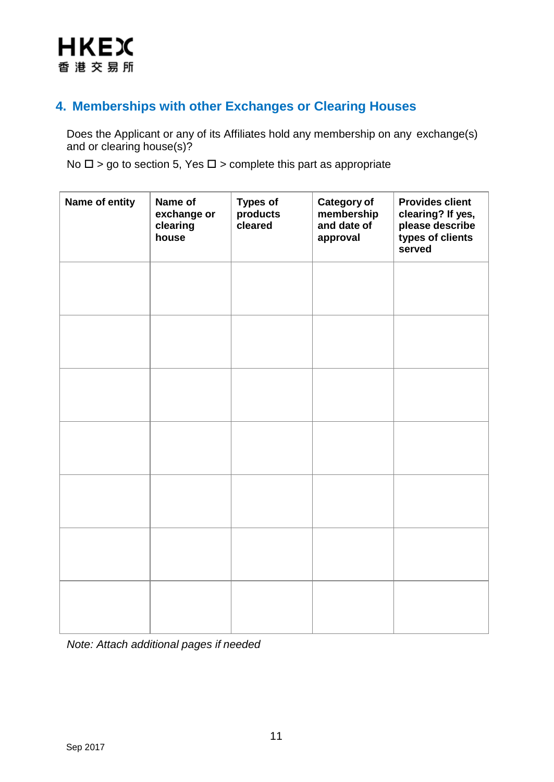# **4. Memberships with other Exchanges or Clearing Houses**

Does the Applicant or any of its Affiliates hold any membership on any exchange(s) and or clearing house(s)?

No  $\square$  > go to section 5, Yes  $\square$  > complete this part as appropriate

| Name of entity | Name of<br>exchange or<br>clearing<br>house | <b>Types of</b><br>products<br>cleared | <b>Category of</b><br>membership<br>and date of<br>approval | <b>Provides client</b><br>clearing? If yes,<br>please describe<br>types of clients<br>served |
|----------------|---------------------------------------------|----------------------------------------|-------------------------------------------------------------|----------------------------------------------------------------------------------------------|
|                |                                             |                                        |                                                             |                                                                                              |
|                |                                             |                                        |                                                             |                                                                                              |
|                |                                             |                                        |                                                             |                                                                                              |
|                |                                             |                                        |                                                             |                                                                                              |
|                |                                             |                                        |                                                             |                                                                                              |
|                |                                             |                                        |                                                             |                                                                                              |
|                |                                             |                                        |                                                             |                                                                                              |

*Note: Attach additional pages if needed*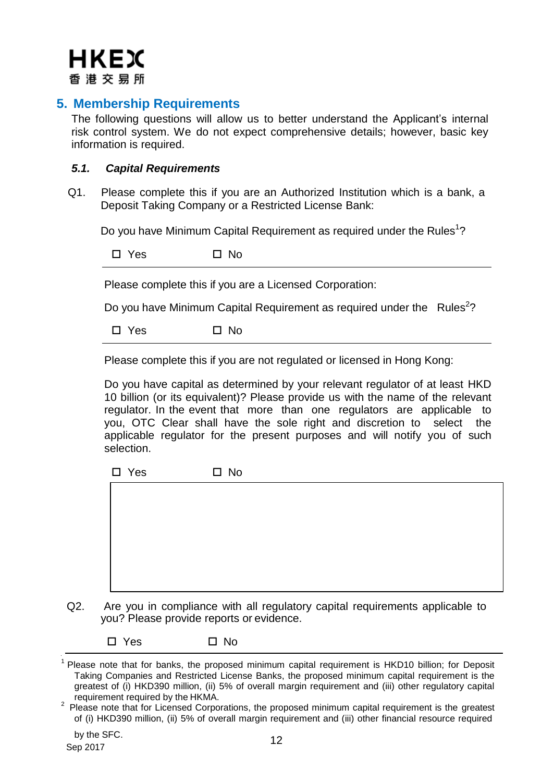**HKEX** 香 港 交 易 所

# **5. Membership Requirements**

The following questions will allow us to better understand the Applicant's internal risk control system. We do not expect comprehensive details; however, basic key information is required.

### <span id="page-11-0"></span>*5.1. Capital Requirements*

Q1. Please complete this if you are an Authorized Institution which is a bank, a Deposit Taking Company or a Restricted License Bank:

Do you have Minimum Capital Requirement as required under the Rules<sup>[1](#page-11-1)</sup>?

 $\square$  Yes  $\square$  No

Please complete this if you are a Licensed Corporation:

Do you have Minimum Capital Requirement as required under the  $\cdot$  Rules<sup>[2](#page-11-2)</sup>?

 $\square$  Yes  $\square$  No

Please complete this if you are not regulated or licensed in Hong Kong:

Do you have capital as determined by your relevant regulator of at least HKD 10 billion (or its equivalent)? Please provide us with the name of the relevant regulator. In the event that more than one regulators are applicable to you, OTC Clear shall have the sole right and discretion to select the applicable regulator for the present purposes and will notify you of such selection.

| $\square$ No |
|--------------|
|              |
|              |
|              |
|              |
|              |
|              |
|              |

Q2. Are you in compliance with all regulatory capital requirements applicable to you? Please provide reports or evidence.

 $\square$  Yes  $\square$  No

<span id="page-11-1"></span><sup>&</sup>lt;sup>1</sup> Please note that for banks, the proposed minimum capital requirement is HKD10 billion; for Deposit Taking Companies and Restricted License Banks, the proposed minimum capital requirement is the greatest of (i) HKD390 million, (ii) 5% of overall margin requirement and (iii) other regulatory capital requirement required by the HKMA.

<span id="page-11-2"></span><sup>&</sup>lt;sup>2</sup> Please note that for Licensed Corporations, the proposed minimum capital requirement is the greatest of (i) HKD390 million, (ii) 5% of overall margin requirement and (iii) other financial resource required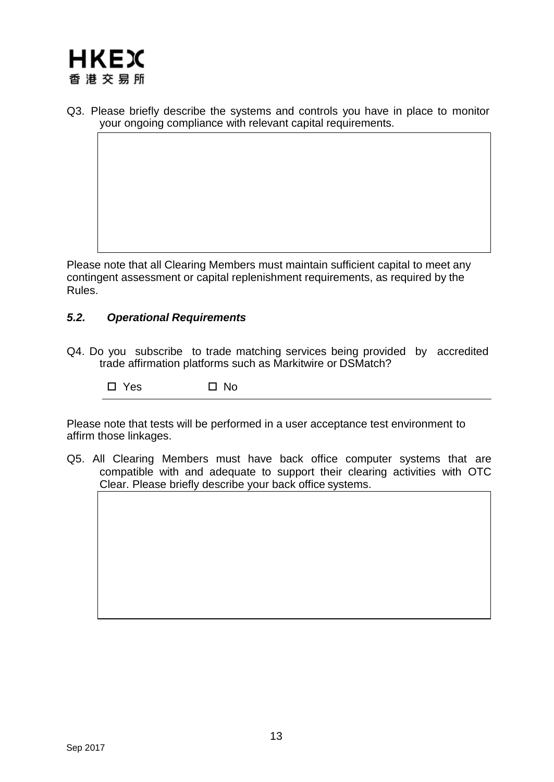

Q3. Please briefly describe the systems and controls you have in place to monitor your ongoing compliance with relevant capital requirements.

Please note that all Clearing Members must maintain sufficient capital to meet any contingent assessment or capital replenishment requirements, as required by the Rules.

### <span id="page-12-0"></span>*5.2. Operational Requirements*

Q4. Do you subscribe to trade matching services being provided by accredited trade affirmation platforms such as Markitwire or DSMatch?

 $\square$  Yes  $\square$  No

Please note that tests will be performed in a user acceptance test environment to affirm those linkages.

Q5. All Clearing Members must have back office computer systems that are compatible with and adequate to support their clearing activities with OTC Clear. Please briefly describe your back office systems.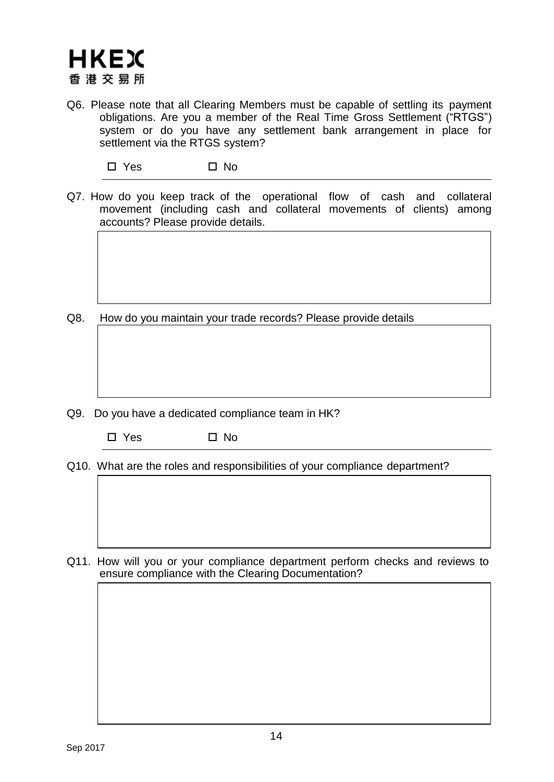Q6. Please note that all Clearing Members must be capable of settling its payment obligations. Are you a member of the Real Time Gross Settlement ("RTGS") system or do you have any settlement bank arrangement in place for settlement via the RTGS system?

 $\square$  Yes  $\square$  No

Q7. How do you keep track of the operational flow of cash and collateral movement (including cash and collateral movements of clients) among accounts? Please provide details.

Q8. How do you maintain your trade records? Please provide details

- Q9. Do you have a dedicated compliance team in HK?
	- $\square$  Yes  $\square$  No

Q10. What are the roles and responsibilities of your compliance department?

Q11. How will you or your compliance department perform checks and reviews to ensure compliance with the Clearing Documentation?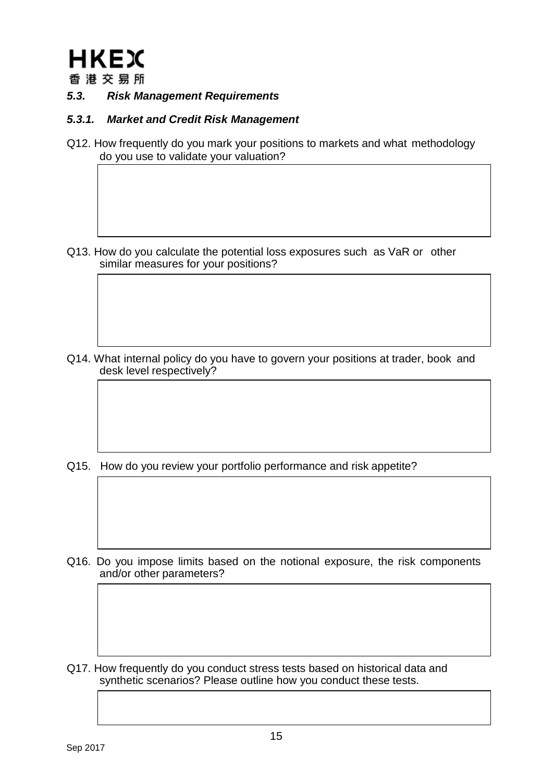

<span id="page-14-0"></span>*5.3. Risk Management Requirements*

### *5.3.1. Market and Credit Risk Management*

Q12. How frequently do you mark your positions to markets and what methodology do you use to validate your valuation?

Q13. How do you calculate the potential loss exposures such as VaR or other similar measures for your positions?

Q14. What internal policy do you have to govern your positions at trader, book and desk level respectively?

Q15. How do you review your portfolio performance and risk appetite?

Q16. Do you impose limits based on the notional exposure, the risk components and/or other parameters?

Q17. How frequently do you conduct stress tests based on historical data and synthetic scenarios? Please outline how you conduct these tests.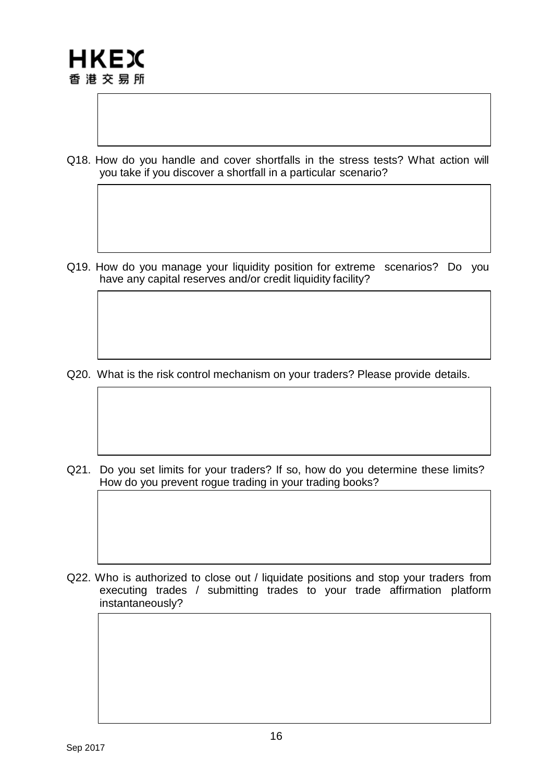Q18. How do you handle and cover shortfalls in the stress tests? What action will you take if you discover a shortfall in a particular scenario?

Q19. How do you manage your liquidity position for extreme scenarios? Do you have any capital reserves and/or credit liquidity facility?

Q20. What is the risk control mechanism on your traders? Please provide details.

Q21. Do you set limits for your traders? If so, how do you determine these limits? How do you prevent rogue trading in your trading books?

Q22. Who is authorized to close out / liquidate positions and stop your traders from executing trades / submitting trades to your trade affirmation platform instantaneously?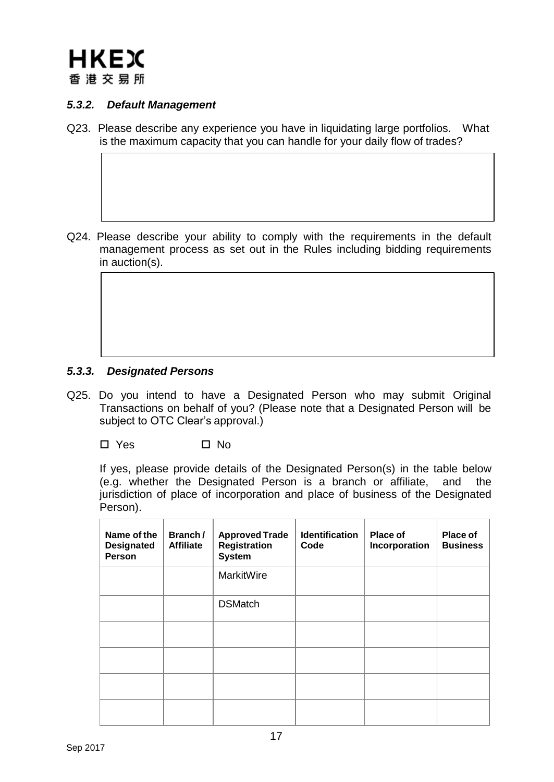### *5.3.2. Default Management*

Q23. Please describe any experience you have in liquidating large portfolios. What is the maximum capacity that you can handle for your daily flow of trades?

Q24. Please describe your ability to comply with the requirements in the default management process as set out in the Rules including bidding requirements in auction(s).

### *5.3.3. Designated Persons*

Q25. Do you intend to have a Designated Person who may submit Original Transactions on behalf of you? (Please note that a Designated Person will be subject to OTC Clear's approval.)

 $\square$  Yes  $\square$  No

If yes, please provide details of the Designated Person(s) in the table below (e.g. whether the Designated Person is a branch or affiliate, and the jurisdiction of place of incorporation and place of business of the Designated Person).

| Name of the<br><b>Designated</b><br><b>Person</b> | Branch/<br><b>Affiliate</b> | <b>Approved Trade</b><br>Registration<br><b>System</b> | <b>Identification</b><br>Code | Place of<br>Incorporation | Place of<br><b>Business</b> |
|---------------------------------------------------|-----------------------------|--------------------------------------------------------|-------------------------------|---------------------------|-----------------------------|
|                                                   |                             | MarkitWire                                             |                               |                           |                             |
|                                                   |                             | <b>DSMatch</b>                                         |                               |                           |                             |
|                                                   |                             |                                                        |                               |                           |                             |
|                                                   |                             |                                                        |                               |                           |                             |
|                                                   |                             |                                                        |                               |                           |                             |
|                                                   |                             |                                                        |                               |                           |                             |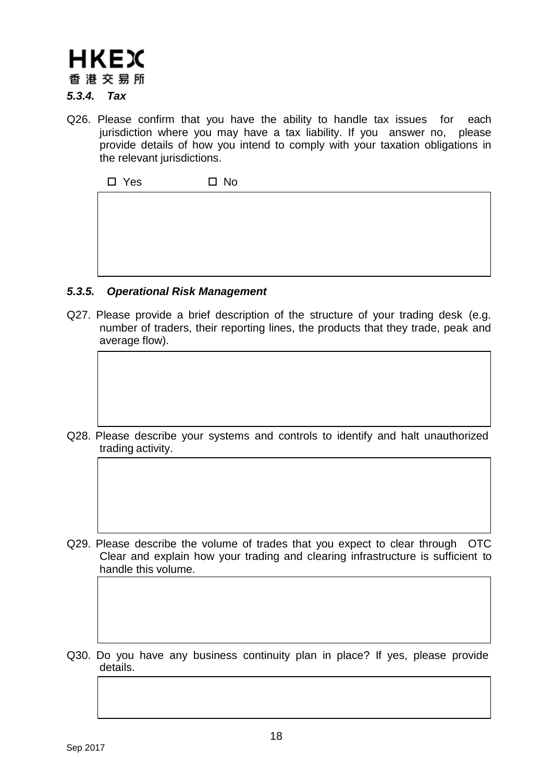# **HKEX** 香 港 交 易 所

# *5.3.4. Tax*

Q26. Please confirm that you have the ability to handle tax issues for each jurisdiction where you may have a tax liability. If you answer no, please provide details of how you intend to comply with your taxation obligations in the relevant jurisdictions.

 $\square$  Yes  $\square$  No

# *5.3.5. Operational Risk Management*

Q27. Please provide a brief description of the structure of your trading desk (e.g. number of traders, their reporting lines, the products that they trade, peak and average flow).

Q28. Please describe your systems and controls to identify and halt unauthorized trading activity.

- Q29. Please describe the volume of trades that you expect to clear through OTC Clear and explain how your trading and clearing infrastructure is sufficient to handle this volume.
- Q30. Do you have any business continuity plan in place? If yes, please provide details.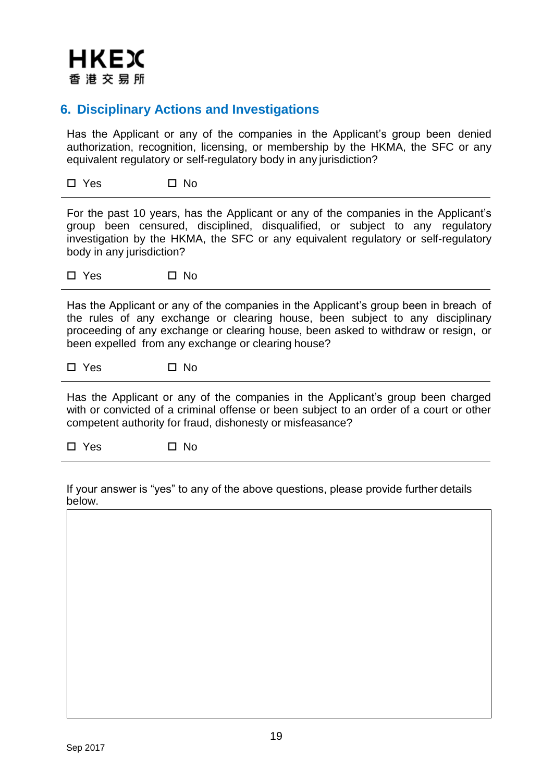

# **6. Disciplinary Actions and Investigations**

Has the Applicant or any of the companies in the Applicant's group been denied authorization, recognition, licensing, or membership by the HKMA, the SFC or any equivalent regulatory or self-regulatory body in any jurisdiction?

 $\Box$  Yes  $\Box$  No

For the past 10 years, has the Applicant or any of the companies in the Applicant's group been censured, disciplined, disqualified, or subject to any regulatory investigation by the HKMA, the SFC or any equivalent regulatory or self-regulatory body in any jurisdiction?

 $\square$  Yes  $\square$  No

Has the Applicant or any of the companies in the Applicant's group been in breach of the rules of any exchange or clearing house, been subject to any disciplinary proceeding of any exchange or clearing house, been asked to withdraw or resign, or been expelled from any exchange or clearing house?

 $\square$  Yes  $\square$  No

Has the Applicant or any of the companies in the Applicant's group been charged with or convicted of a criminal offense or been subject to an order of a court or other competent authority for fraud, dishonesty or misfeasance?

 $\square$  Yes  $\square$  No

If your answer is "yes" to any of the above questions, please provide further details below.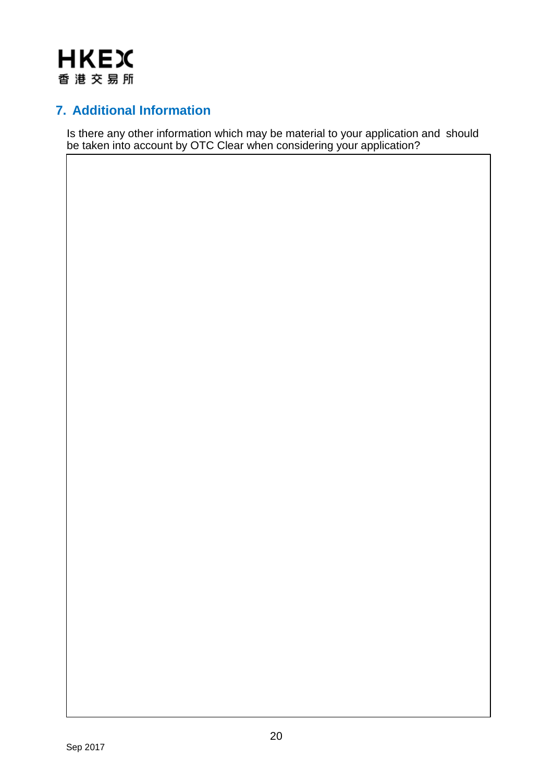

# **7. Additional Information**

Is there any other information which may be material to your application and should be taken into account by OTC Clear when considering your application?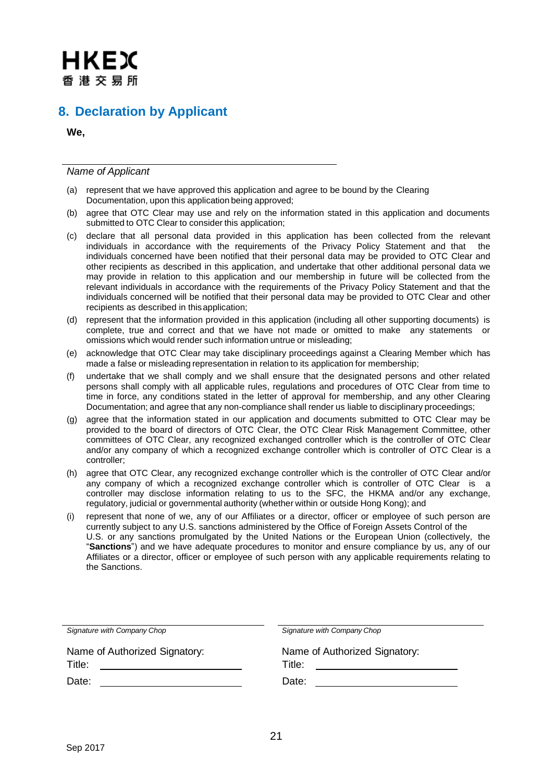# **8. Declaration by Applicant**

**We,**

*Name of Applicant*

- (a) represent that we have approved this application and agree to be bound by the Clearing Documentation, upon this application being approved;
- (b) agree that OTC Clear may use and rely on the information stated in this application and documents submitted to OTC Clear to consider this application;
- (c) declare that all personal data provided in this application has been collected from the relevant individuals in accordance with the requirements of the Privacy Policy Statement and that the individuals concerned have been notified that their personal data may be provided to OTC Clear and other recipients as described in this application, and undertake that other additional personal data we may provide in relation to this application and our membership in future will be collected from the relevant individuals in accordance with the requirements of the Privacy Policy Statement and that the individuals concerned will be notified that their personal data may be provided to OTC Clear and other recipients as described in thisapplication;
- (d) represent that the information provided in this application (including all other supporting documents) is complete, true and correct and that we have not made or omitted to make any statements or omissions which would render such information untrue or misleading;
- (e) acknowledge that OTC Clear may take disciplinary proceedings against a Clearing Member which has made a false or misleading representation in relation to its application for membership;
- (f) undertake that we shall comply and we shall ensure that the designated persons and other related persons shall comply with all applicable rules, regulations and procedures of OTC Clear from time to time in force, any conditions stated in the letter of approval for membership, and any other Clearing Documentation; and agree that any non-compliance shall render us liable to disciplinary proceedings;
- (g) agree that the information stated in our application and documents submitted to OTC Clear may be provided to the board of directors of OTC Clear, the OTC Clear Risk Management Committee, other committees of OTC Clear, any recognized exchanged controller which is the controller of OTC Clear and/or any company of which a recognized exchange controller which is controller of OTC Clear is a controller;
- (h) agree that OTC Clear, any recognized exchange controller which is the controller of OTC Clear and/or any company of which a recognized exchange controller which is controller of OTC Clear is a controller may disclose information relating to us to the SFC, the HKMA and/or any exchange, regulatory, judicial or governmental authority (whether within or outside Hong Kong); and
- (i) represent that none of we, any of our Affiliates or a director, officer or employee of such person are currently subject to any U.S. sanctions administered by the Office of Foreign Assets Control of the U.S. or any sanctions promulgated by the United Nations or the European Union (collectively, the "**Sanctions**") and we have adequate procedures to monitor and ensure compliance by us, any of our Affiliates or a director, officer or employee of such person with any applicable requirements relating to the Sanctions.

| Signature with Company Chop   | Signature with Company Chop   |
|-------------------------------|-------------------------------|
| Name of Authorized Signatory: | Name of Authorized Signatory: |
| Title:                        | Title:                        |
| Date:                         | Date:                         |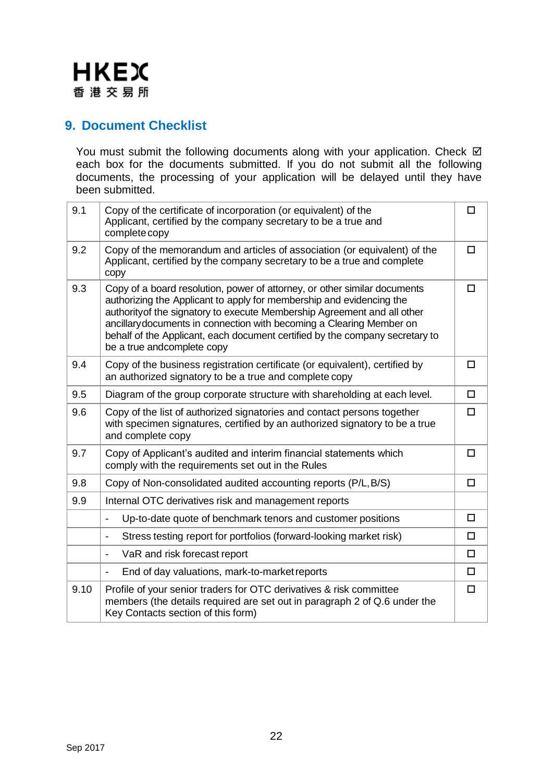

# **9. Document Checklist**

You must submit the following documents along with your application. Check  $\boxtimes$ each box for the documents submitted. If you do not submit all the following documents, the processing of your application will be delayed until they have been submitted.

| 9.1  | Copy of the certificate of incorporation (or equivalent) of the<br>Applicant, certified by the company secretary to be a true and<br>complete copy                                                                                                                                                                                                                                                                  | ◻      |
|------|---------------------------------------------------------------------------------------------------------------------------------------------------------------------------------------------------------------------------------------------------------------------------------------------------------------------------------------------------------------------------------------------------------------------|--------|
| 9.2  | Copy of the memorandum and articles of association (or equivalent) of the<br>Applicant, certified by the company secretary to be a true and complete<br>copy                                                                                                                                                                                                                                                        | $\Box$ |
| 9.3  | Copy of a board resolution, power of attorney, or other similar documents<br>authorizing the Applicant to apply for membership and evidencing the<br>authority of the signatory to execute Membership Agreement and all other<br>ancillary documents in connection with becoming a Clearing Member on<br>behalf of the Applicant, each document certified by the company secretary to<br>be a true andcomplete copy | $\Box$ |
| 9.4  | Copy of the business registration certificate (or equivalent), certified by<br>an authorized signatory to be a true and complete copy                                                                                                                                                                                                                                                                               | $\Box$ |
| 9.5  | Diagram of the group corporate structure with shareholding at each level.                                                                                                                                                                                                                                                                                                                                           | $\Box$ |
| 9.6  | Copy of the list of authorized signatories and contact persons together<br>with specimen signatures, certified by an authorized signatory to be a true<br>and complete copy                                                                                                                                                                                                                                         | $\Box$ |
| 9.7  | Copy of Applicant's audited and interim financial statements which<br>comply with the requirements set out in the Rules                                                                                                                                                                                                                                                                                             | $\Box$ |
| 9.8  | Copy of Non-consolidated audited accounting reports (P/L, B/S)                                                                                                                                                                                                                                                                                                                                                      | $\Box$ |
| 9.9  | Internal OTC derivatives risk and management reports                                                                                                                                                                                                                                                                                                                                                                |        |
|      | Up-to-date quote of benchmark tenors and customer positions<br>$\overline{\phantom{a}}$                                                                                                                                                                                                                                                                                                                             | $\Box$ |
|      | Stress testing report for portfolios (forward-looking market risk)<br>$\blacksquare$                                                                                                                                                                                                                                                                                                                                | $\Box$ |
|      | VaR and risk forecast report<br>$\overline{\phantom{a}}$                                                                                                                                                                                                                                                                                                                                                            | $\Box$ |
|      | End of day valuations, mark-to-market reports<br>$\overline{\phantom{a}}$                                                                                                                                                                                                                                                                                                                                           | $\Box$ |
| 9.10 | Profile of your senior traders for OTC derivatives & risk committee<br>members (the details required are set out in paragraph 2 of Q.6 under the<br>Key Contacts section of this form)                                                                                                                                                                                                                              | $\Box$ |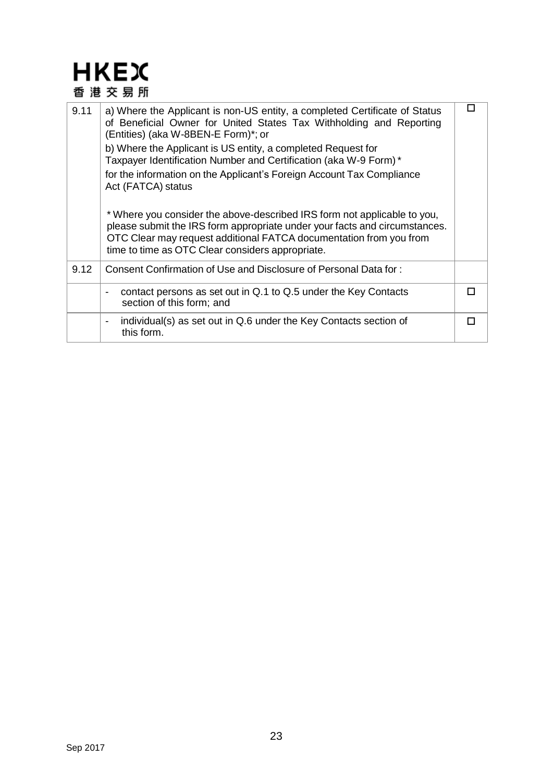| 9.11 | a) Where the Applicant is non-US entity, a completed Certificate of Status<br>of Beneficial Owner for United States Tax Withholding and Reporting<br>(Entities) (aka W-8BEN-E Form)*; or<br>b) Where the Applicant is US entity, a completed Request for<br>Taxpayer Identification Number and Certification (aka W-9 Form)*<br>for the information on the Applicant's Foreign Account Tax Compliance<br>Act (FATCA) status<br>* Where you consider the above-described IRS form not applicable to you,<br>please submit the IRS form appropriate under your facts and circumstances.<br>OTC Clear may request additional FATCA documentation from you from<br>time to time as OTC Clear considers appropriate. |  |
|------|-----------------------------------------------------------------------------------------------------------------------------------------------------------------------------------------------------------------------------------------------------------------------------------------------------------------------------------------------------------------------------------------------------------------------------------------------------------------------------------------------------------------------------------------------------------------------------------------------------------------------------------------------------------------------------------------------------------------|--|
| 9.12 | Consent Confirmation of Use and Disclosure of Personal Data for:                                                                                                                                                                                                                                                                                                                                                                                                                                                                                                                                                                                                                                                |  |
|      | contact persons as set out in Q.1 to Q.5 under the Key Contacts<br>section of this form; and                                                                                                                                                                                                                                                                                                                                                                                                                                                                                                                                                                                                                    |  |
|      | individual(s) as set out in Q.6 under the Key Contacts section of<br>-<br>this form.                                                                                                                                                                                                                                                                                                                                                                                                                                                                                                                                                                                                                            |  |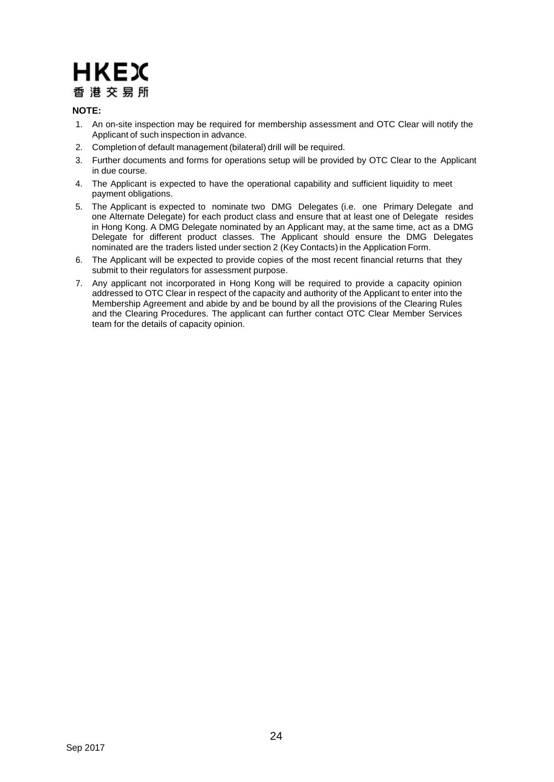### **NOTE:**

- 1. An on-site inspection may be required for membership assessment and OTC Clear will notify the Applicant of such inspection in advance.
- 2. Completion of default management (bilateral) drill will be required.
- 3. Further documents and forms for operations setup will be provided by OTC Clear to the Applicant in due course.
- 4. The Applicant is expected to have the operational capability and sufficient liquidity to meet payment obligations.
- 5. The Applicant is expected to nominate two DMG Delegates (i.e. one Primary Delegate and one Alternate Delegate) for each product class and ensure that at least one of Delegate resides in Hong Kong. A DMG Delegate nominated by an Applicant may, at the same time, act as a DMG Delegate for different product classes. The Applicant should ensure the DMG Delegates nominated are the traders listed under section 2 (Key Contacts)in the Application Form.
- 6. The Applicant will be expected to provide copies of the most recent financial returns that they submit to their regulators for assessment purpose.
- 7. Any applicant not incorporated in Hong Kong will be required to provide a capacity opinion addressed to OTC Clear in respect of the capacity and authority of the Applicant to enter into the Membership Agreement and abide by and be bound by all the provisions of the Clearing Rules and the Clearing Procedures. The applicant can further contact OTC Clear Member Services team for the details of capacity opinion.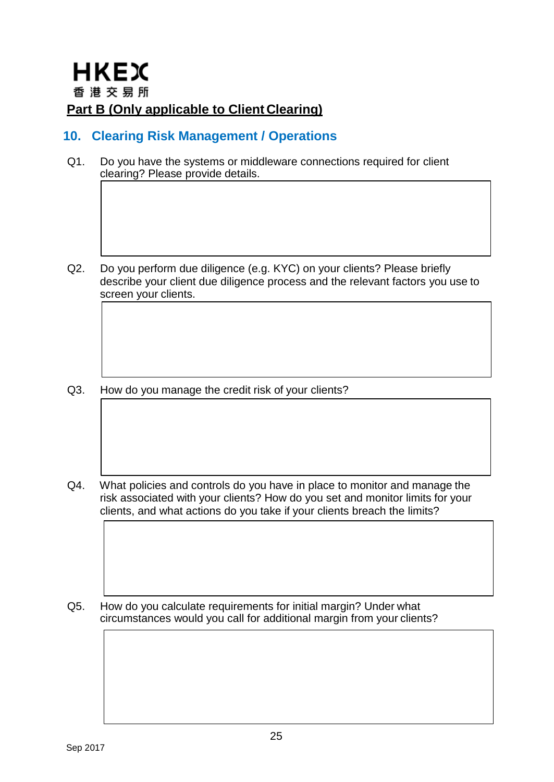# **10. Clearing Risk Management / Operations**

Q1. Do you have the systems or middleware connections required for client clearing? Please provide details.

Q2. Do you perform due diligence (e.g. KYC) on your clients? Please briefly describe your client due diligence process and the relevant factors you use to screen your clients.

Q3. How do you manage the credit risk of your clients?

Q4. What policies and controls do you have in place to monitor and manage the risk associated with your clients? How do you set and monitor limits for your clients, and what actions do you take if your clients breach the limits?

Q5. How do you calculate requirements for initial margin? Under what circumstances would you call for additional margin from your clients?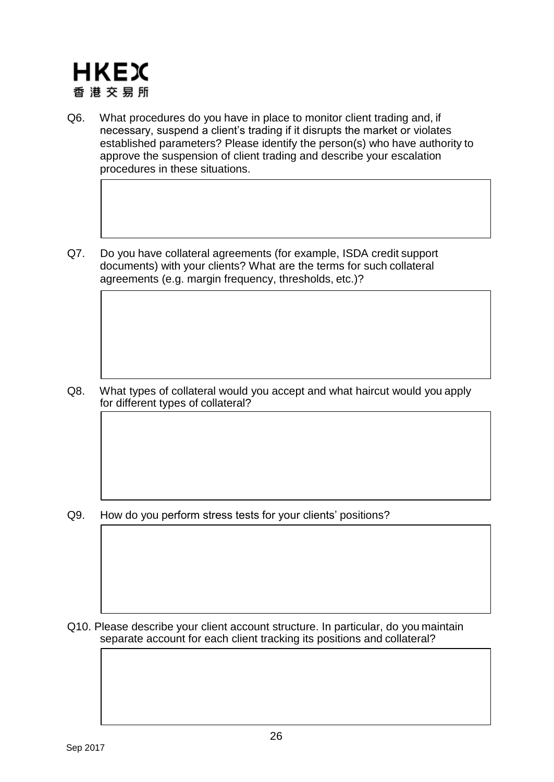

- Q6. What procedures do you have in place to monitor client trading and, if necessary, suspend a client's trading if it disrupts the market or violates established parameters? Please identify the person(s) who have authority to approve the suspension of client trading and describe your escalation procedures in these situations.
- Q7. Do you have collateral agreements (for example, ISDA credit support documents) with your clients? What are the terms for such collateral agreements (e.g. margin frequency, thresholds, etc.)?

Q8. What types of collateral would you accept and what haircut would you apply for different types of collateral?

Q9. How do you perform stress tests for your clients' positions?

Q10. Please describe your client account structure. In particular, do you maintain separate account for each client tracking its positions and collateral?